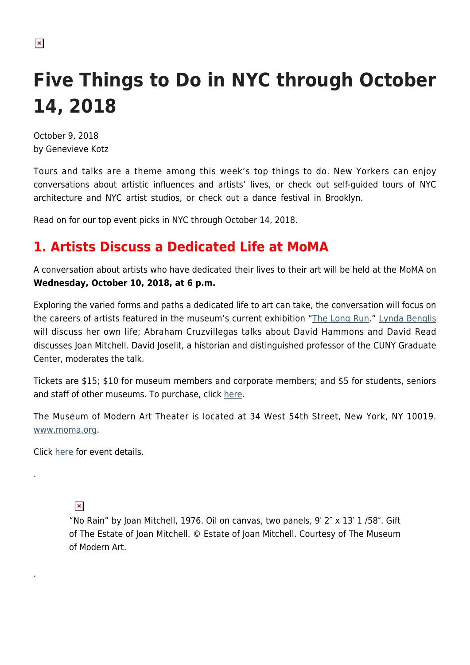# **Five Things to Do in NYC through October 14, 2018**

October 9, 2018 by Genevieve Kotz

 $\pmb{\times}$ 

Tours and talks are a theme among this week's top things to do. New Yorkers can enjoy conversations about artistic influences and artists' lives, or check out self-guided tours of NYC architecture and NYC artist studios, or check out a dance festival in Brooklyn.

Read on for our top event picks in NYC through October 14, 2018.

## **1. Artists Discuss a Dedicated Life at MoMA**

A conversation about artists who have dedicated their lives to their art will be held at the MoMA on **Wednesday, October 10, 2018, at 6 p.m.**

Exploring the varied forms and paths a dedicated life to art can take, the conversation will focus on the careers of artists featured in the museum's current exhibition "[The Long Run.](https://www.moma.org/calendar/exhibitions/3879?locale=en)" [Lynda Benglis](https://hamptonsarthub.com/2016/10/11/review-art-review-new-sculpture-by-lynda-benglis-shows-playful-spirit-at-cheim-read/) will discuss her own life; Abraham Cruzvillegas talks about David Hammons and David Read discusses Joan Mitchell. David Joselit, a historian and distinguished professor of the CUNY Graduate Center, moderates the talk.

Tickets are \$15; \$10 for museum members and corporate members; and \$5 for students, seniors and staff of other museums. To purchase, click [here.](https://www.showclix.com/event/the-long-run)

The Museum of Modern Art Theater is located at 34 West 54th Street, New York, NY 10019. [www.moma.org.](https://www.moma.org/)

Click [here](https://www.moma.org/calendar/events/4656?) for event details.

 $\pmb{\times}$ 

.

.

"No Rain" by Joan Mitchell, 1976. Oil on canvas, two panels, 9′ 2″ x 13′ 1 /58″. Gift of The Estate of Joan Mitchell. © Estate of Joan Mitchell. Courtesy of The Museum of Modern Art.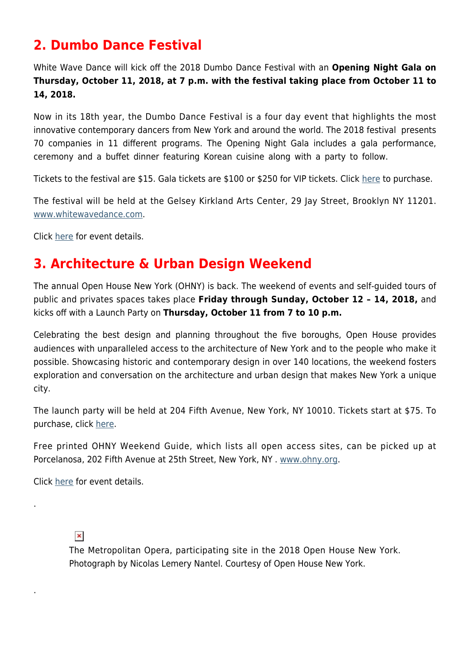## **2. Dumbo Dance Festival**

White Wave Dance will kick off the 2018 Dumbo Dance Festival with an **Opening Night Gala on Thursday, October 11, 2018, at 7 p.m. with the festival taking place from October 11 to 14, 2018.**

Now in its 18th year, the Dumbo Dance Festival is a four day event that highlights the most innovative contemporary dancers from New York and around the world. The 2018 festival presents 70 companies in 11 different programs. The Opening Night Gala includes a gala performance, ceremony and a buffet dinner featuring Korean cuisine along with a party to follow.

Tickets to the festival are \$15. Gala tickets are \$100 or \$250 for VIP tickets. Click [here](https://www.eventbrite.com/e/2018-dumbo-dance-festival-october-11-14-tickets-49454268047) to purchase.

The festival will be held at the Gelsey Kirkland Arts Center, 29 Jay Street, Brooklyn NY 11201. [www.whitewavedance.com.](http://www.whitewavedance.com)

Click [here](http://www.whitewavedance.com/) for event details.

#### **3. Architecture & Urban Design Weekend**

The annual Open House New York (OHNY) is back. The weekend of events and self-guided tours of public and privates spaces takes place **Friday through Sunday, October 12 – 14, 2018,** and kicks off with a Launch Party on **Thursday, October 11 from 7 to 10 p.m.**

Celebrating the best design and planning throughout the five boroughs, Open House provides audiences with unparalleled access to the architecture of New York and to the people who make it possible. Showcasing historic and contemporary design in over 140 locations, the weekend fosters exploration and conversation on the architecture and urban design that makes New York a unique city.

The launch party will be held at 204 Fifth Avenue, New York, NY 10010. Tickets start at \$75. To purchase, click [here.](https://ohny.formstack.com/forms/ohnylaunch2018)

Free printed OHNY Weekend Guide, which lists all open access sites, can be picked up at Porcelanosa, 202 Fifth Avenue at 25th Street, New York, NY . [www.ohny.org.](https://ohny.org/)

Click [here](https://ohny.org/) for event details.

 $\pmb{\times}$ 

.

.

The Metropolitan Opera, participating site in the 2018 Open House New York. Photograph by Nicolas Lemery Nantel. Courtesy of Open House New York.